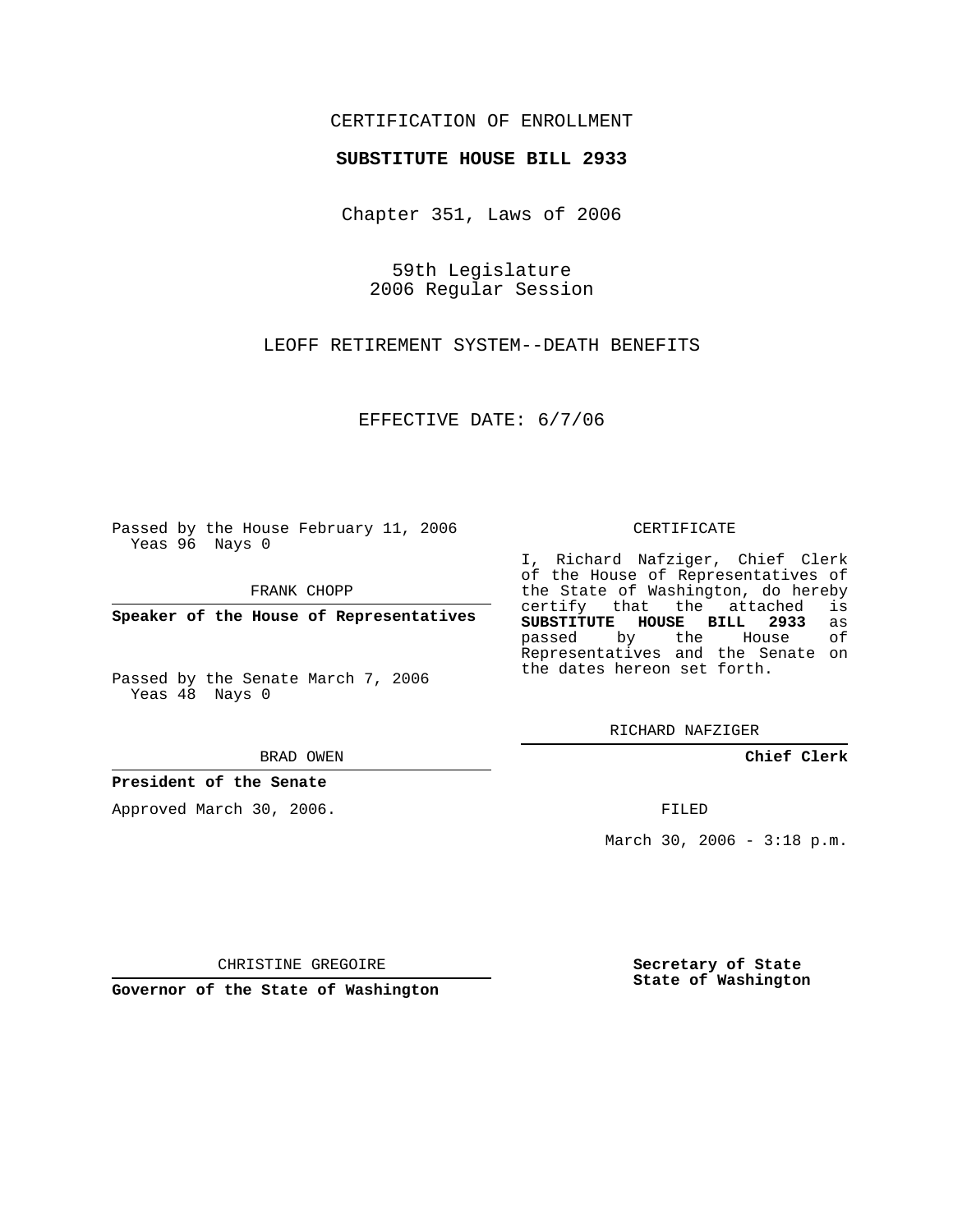## CERTIFICATION OF ENROLLMENT

### **SUBSTITUTE HOUSE BILL 2933**

Chapter 351, Laws of 2006

59th Legislature 2006 Regular Session

LEOFF RETIREMENT SYSTEM--DEATH BENEFITS

EFFECTIVE DATE: 6/7/06

Passed by the House February 11, 2006 Yeas 96 Nays 0

FRANK CHOPP

**Speaker of the House of Representatives**

Passed by the Senate March 7, 2006 Yeas 48 Nays 0

#### BRAD OWEN

## **President of the Senate**

Approved March 30, 2006.

#### CERTIFICATE

I, Richard Nafziger, Chief Clerk of the House of Representatives of the State of Washington, do hereby<br>certify that the attached is certify that the attached **SUBSTITUTE HOUSE BILL 2933** as passed by the Representatives and the Senate on the dates hereon set forth.

RICHARD NAFZIGER

**Chief Clerk**

FILED

March 30, 2006 - 3:18 p.m.

CHRISTINE GREGOIRE

**Governor of the State of Washington**

**Secretary of State State of Washington**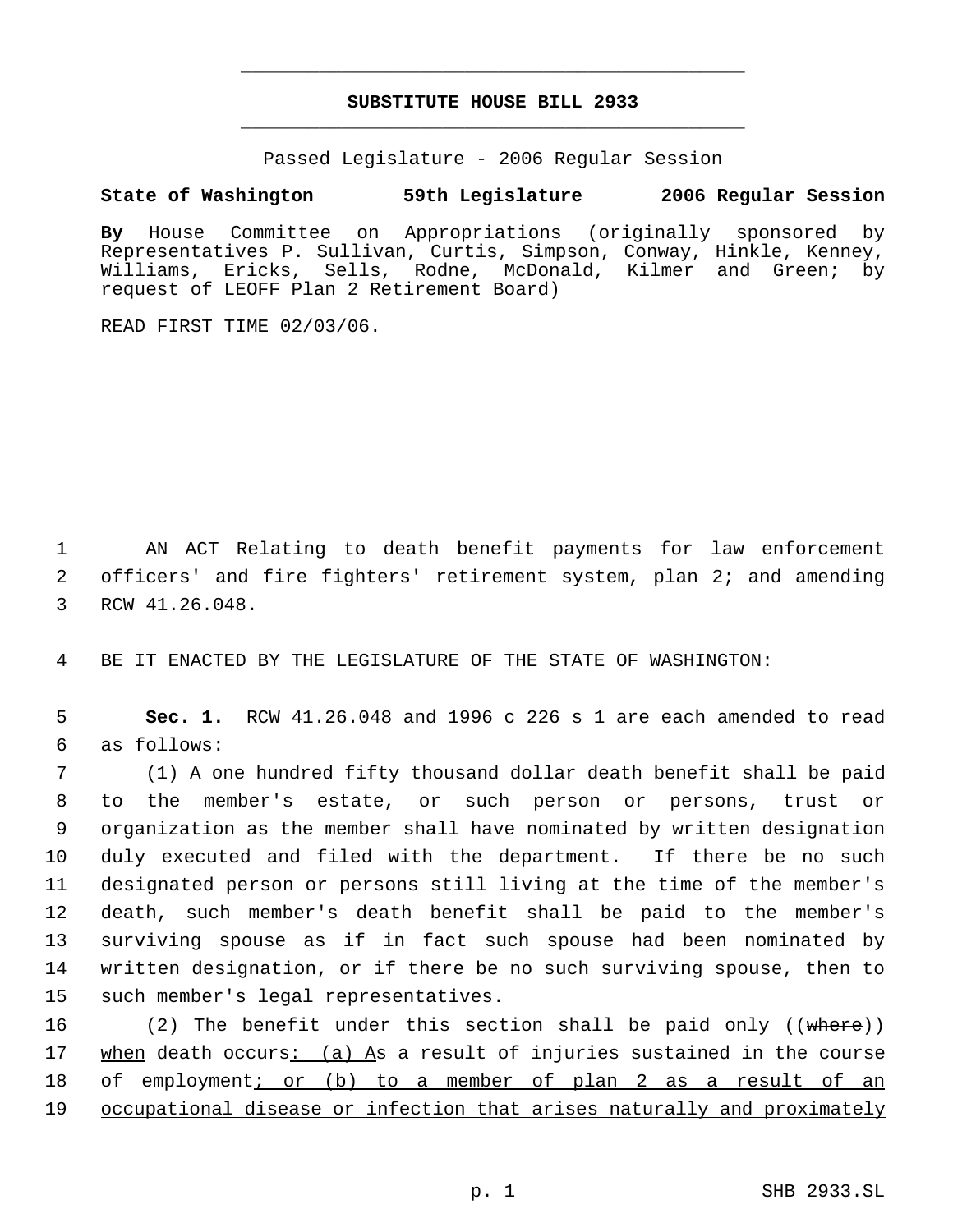# **SUBSTITUTE HOUSE BILL 2933** \_\_\_\_\_\_\_\_\_\_\_\_\_\_\_\_\_\_\_\_\_\_\_\_\_\_\_\_\_\_\_\_\_\_\_\_\_\_\_\_\_\_\_\_\_

\_\_\_\_\_\_\_\_\_\_\_\_\_\_\_\_\_\_\_\_\_\_\_\_\_\_\_\_\_\_\_\_\_\_\_\_\_\_\_\_\_\_\_\_\_

Passed Legislature - 2006 Regular Session

## **State of Washington 59th Legislature 2006 Regular Session**

**By** House Committee on Appropriations (originally sponsored by Representatives P. Sullivan, Curtis, Simpson, Conway, Hinkle, Kenney, Williams, Ericks, Sells, Rodne, McDonald, Kilmer and Green; by request of LEOFF Plan 2 Retirement Board)

READ FIRST TIME 02/03/06.

 1 AN ACT Relating to death benefit payments for law enforcement 2 officers' and fire fighters' retirement system, plan 2; and amending 3 RCW 41.26.048.

4 BE IT ENACTED BY THE LEGISLATURE OF THE STATE OF WASHINGTON:

 5 **Sec. 1.** RCW 41.26.048 and 1996 c 226 s 1 are each amended to read 6 as follows:

 (1) A one hundred fifty thousand dollar death benefit shall be paid to the member's estate, or such person or persons, trust or organization as the member shall have nominated by written designation duly executed and filed with the department. If there be no such designated person or persons still living at the time of the member's death, such member's death benefit shall be paid to the member's surviving spouse as if in fact such spouse had been nominated by written designation, or if there be no such surviving spouse, then to such member's legal representatives.

16 (2) The benefit under this section shall be paid only ((where)) 17 when death occurs: (a) As a result of injuries sustained in the course 18 of employment; or (b) to a member of plan 2 as a result of an 19 occupational disease or infection that arises naturally and proximately